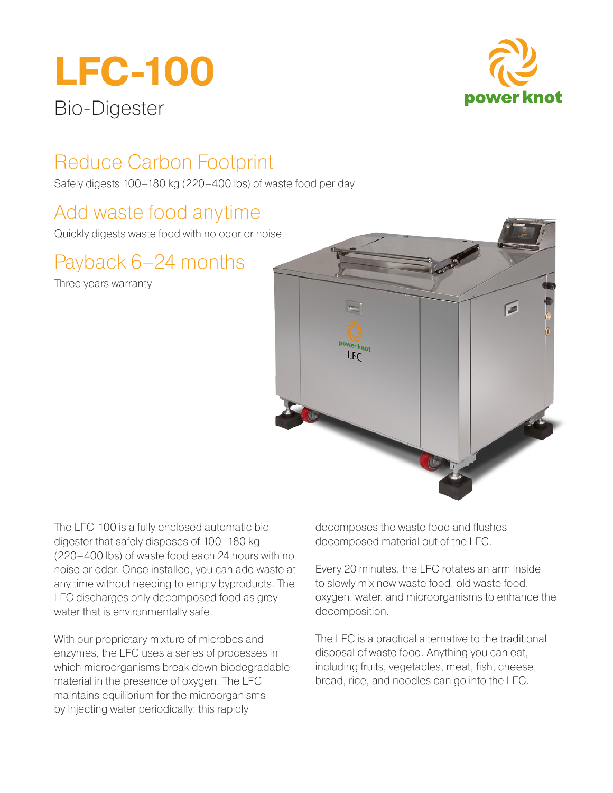# **LFC-100** Bio-Digester



## Reduce Carbon Footprint

Safely digests 100–180 kg (220–400 lbs) of waste food per day

### Add waste food anytime

Quickly digests waste food with no odor or noise

### Payback 6–24 months

Three years warranty



The LFC-100 is a fully enclosed automatic biodigester that safely disposes of 100–180 kg (220–400 lbs) of waste food each 24 hours with no noise or odor. Once installed, you can add waste at any time without needing to empty byproducts. The LFC discharges only decomposed food as grey water that is environmentally safe.

With our proprietary mixture of microbes and enzymes, the LFC uses a series of processes in which microorganisms break down biodegradable material in the presence of oxygen. The LFC maintains equilibrium for the microorganisms by injecting water periodically; this rapidly

decomposes the waste food and flushes decomposed material out of the LFC.

Every 20 minutes, the LFC rotates an arm inside to slowly mix new waste food, old waste food, oxygen, water, and microorganisms to enhance the decomposition.

The LFC is a practical alternative to the traditional disposal of waste food. Anything you can eat, including fruits, vegetables, meat, fish, cheese, bread, rice, and noodles can go into the LFC.